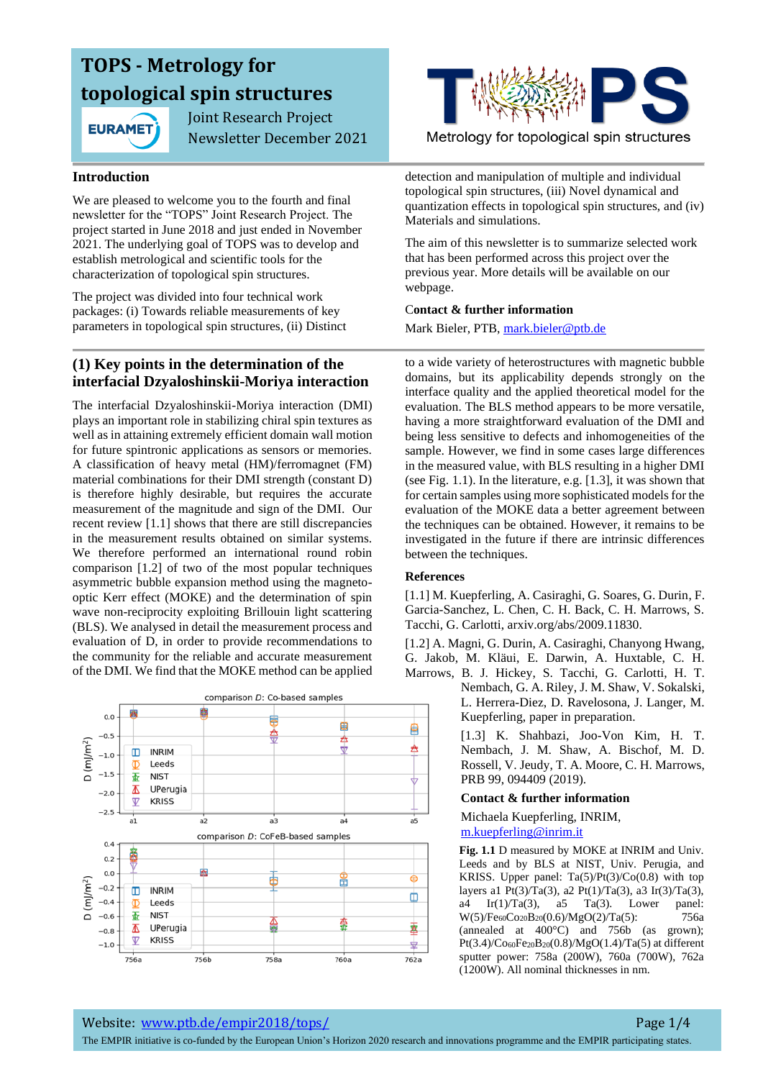

 Joint Research Project Newsletter December 2021

#### **Introduction**

We are pleased to welcome you to the fourth and final newsletter for the "TOPS" Joint Research Project. The project started in June 2018 and just ended in November 2021. The underlying goal of TOPS was to develop and establish metrological and scientific tools for the characterization of topological spin structures.

The project was divided into four technical work packages: (i) Towards reliable measurements of key parameters in topological spin structures, (ii) Distinct

## **(1) Key points in the determination of the interfacial Dzyaloshinskii-Moriya interaction**

The interfacial Dzyaloshinskii-Moriya interaction (DMI) plays an important role in stabilizing chiral spin textures as well as in attaining extremely efficient domain wall motion for future spintronic applications as sensors or memories. A classification of heavy metal (HM)/ferromagnet (FM) material combinations for their DMI strength (constant D) is therefore highly desirable, but requires the accurate measurement of the magnitude and sign of the DMI. Our recent review [1.1] shows that there are still discrepancies in the measurement results obtained on similar systems. We therefore performed an international round robin comparison [1.2] of two of the most popular techniques asymmetric bubble expansion method using the magnetooptic Kerr effect (MOKE) and the determination of spin wave non-reciprocity exploiting Brillouin light scattering (BLS). We analysed in detail the measurement process and evaluation of D, in order to provide recommendations to the community for the reliable and accurate measurement of the DMI. We find that the MOKE method can be applied





Metrology for topological spin structures

detection and manipulation of multiple and individual topological spin structures, (iii) Novel dynamical and quantization effects in topological spin structures, and (iv) Materials and simulations.

The aim of this newsletter is to summarize selected work that has been performed across this project over the previous year. More details will be available on our webpage.

#### C**ontact & further information**

Mark Bieler, PTB, mark.bieler@ptb.de

to a wide variety of heterostructures with magnetic bubble domains, but its applicability depends strongly on the interface quality and the applied theoretical model for the evaluation. The BLS method appears to be more versatile, having a more straightforward evaluation of the DMI and being less sensitive to defects and inhomogeneities of the sample. However, we find in some cases large differences in the measured value, with BLS resulting in a higher DMI (see Fig. 1.1). In the literature, e.g. [1.3], it was shown that for certain samples using more sophisticated models for the evaluation of the MOKE data a better agreement between the techniques can be obtained. However, it remains to be investigated in the future if there are intrinsic differences between the techniques.

#### **References**

[1.1] M. Kuepferling, A. Casiraghi, G. Soares, G. Durin, F. Garcia-Sanchez, L. Chen, C. H. Back, C. H. Marrows, S. Tacchi, G. Carlotti, arxiv.org/abs/2009.11830.

[1.2] A. Magni, G. Durin, A. Casiraghi, Chanyong Hwang, G. Jakob, M. Kläui, E. Darwin, A. Huxtable, C. H. Marrows, B. J. Hickey, S. Tacchi, G. Carlotti, H. T.

Nembach, G. A. Riley, J. M. Shaw, V. Sokalski, L. Herrera-Diez, D. Ravelosona, J. Langer, M. Kuepferling, paper in preparation.

[1.3] K. Shahbazi, Joo-Von Kim, H. T. Nembach, J. M. Shaw, A. Bischof, M. D. Rossell, V. Jeudy, T. A. Moore, C. H. Marrows, PRB 99, 094409 (2019).

#### **Contact & further information**

Michaela Kuepferling, INRIM, [m.kuepferling@inrim.it](mailto:m.kuepferling@inrim.it)

**Fig. 1.1** D measured by MOKE at INRIM and Univ. Leeds and by BLS at NIST, Univ. Perugia, and KRISS. Upper panel:  $Ta(5)/Pt(3)/Co(0.8)$  with top layers a1 Pt(3)/Ta(3), a2 Pt(1)/Ta(3), a3 Ir(3)/Ta(3), a4 Ir(1)/Ta(3), a5 Ta(3). Lower panel:  $W(5)/Fe<sub>60</sub>Co<sub>20</sub>B<sub>20</sub>(0.6)/MgO(2)/Ta(5):$  756a (annealed at 400°C) and 756b (as grown); Pt(3.4)/Co60Fe20B20(0.8)/MgO(1.4)/Ta(5) at different sputter power: 758a (200W), 760a (700W), 762a (1200W). All nominal thicknesses in nm.

Website: www.ptb.de/empir2018/tops/ Page 1/4

The EMPIR initiative is co-funded by the European Union's Horizon 2020 research and innovations programme and the EMPIR participating states.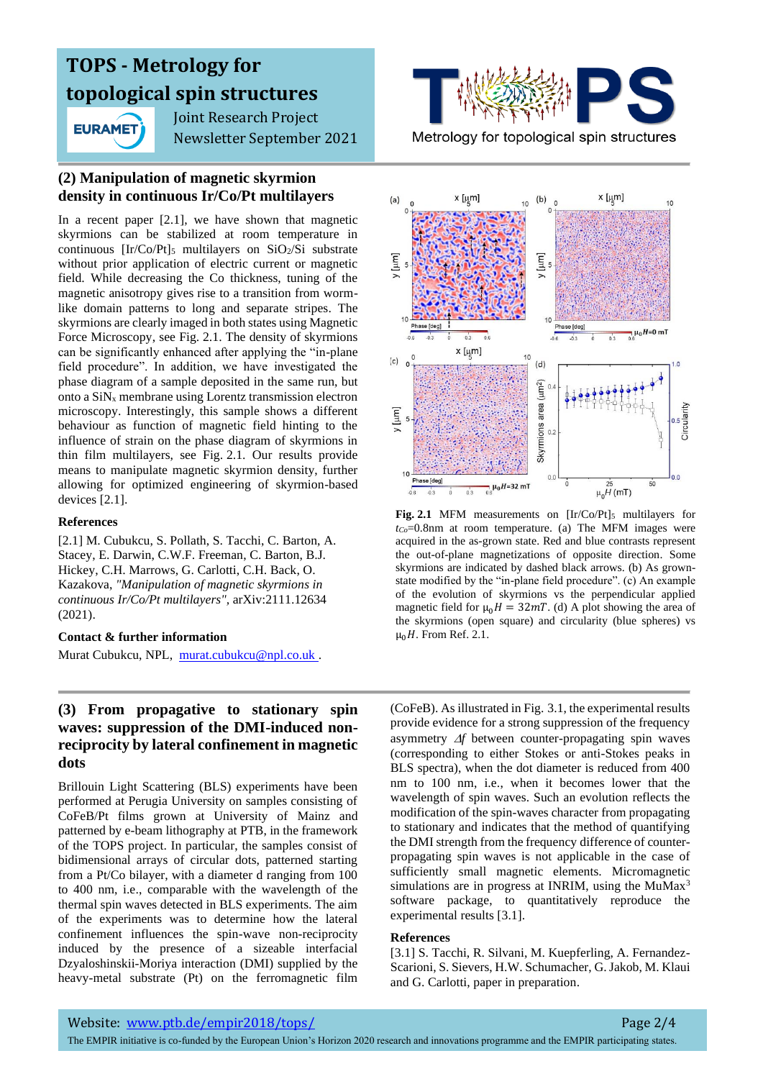**EURAMET** 

 Joint Research Project Newsletter September 2021

## **(2) Manipulation of magnetic skyrmion density in continuous Ir/Co/Pt multilayers**

In a recent paper [2.1], we have shown that magnetic skyrmions can be stabilized at room temperature in continuous  $[Ir/Co/Pt]_5$  multilayers on  $SiO_2/Si$  substrate without prior application of electric current or magnetic field. While decreasing the Co thickness, tuning of the magnetic anisotropy gives rise to a transition from wormlike domain patterns to long and separate stripes. The skyrmions are clearly imaged in both states using Magnetic Force Microscopy, see Fig. 2.1. The density of skyrmions can be significantly enhanced after applying the "in-plane field procedure". In addition, we have investigated the phase diagram of a sample deposited in the same run, but onto a  $\text{SiN}_x$  membrane using Lorentz transmission electron microscopy. Interestingly, this sample shows a different behaviour as function of magnetic field hinting to the influence of strain on the phase diagram of skyrmions in thin film multilayers, see Fig. 2.1. Our results provide means to manipulate magnetic skyrmion density, further allowing for optimized engineering of skyrmion-based devices [2.1].

#### **References**

[2.1] M. Cubukcu, S. Pollath, S. Tacchi, C. Barton, A. Stacey, E. Darwin, C.W.F. Freeman, C. Barton, B.J. Hickey, C.H. Marrows, G. Carlotti, C.H. Back, O. Kazakova, *"Manipulation of magnetic skyrmions in continuous Ir/Co/Pt multilayers",* arXiv:2111.12634 (2021).

#### **Contact & further information**

Murat Cubukcu, NPL, murat.cubukcu@npl.co.uk .

### **(3) From propagative to stationary spin waves: suppression of the DMI-induced nonreciprocity by lateral confinement in magnetic dots**

Brillouin Light Scattering (BLS) experiments have been performed at Perugia University on samples consisting of CoFeB/Pt films grown at University of Mainz and patterned by e-beam lithography at PTB, in the framework of the TOPS project. In particular, the samples consist of bidimensional arrays of circular dots, patterned starting from a Pt/Co bilayer, with a diameter d ranging from 100 to 400 nm, i.e., comparable with the wavelength of the thermal spin waves detected in BLS experiments. The aim of the experiments was to determine how the lateral confinement influences the spin-wave non-reciprocity induced by the presence of a sizeable interfacial Dzyaloshinskii-Moriya interaction (DMI) supplied by the heavy-metal substrate (Pt) on the ferromagnetic film

Metrology for topological spin structures



**Fig. 2.1** MFM measurements on  $[Ir/Co/Pt]_5$  multilayers for *tCo*=0.8nm at room temperature. (a) The MFM images were acquired in the as-grown state. Red and blue contrasts represent the out-of-plane magnetizations of opposite direction. Some skyrmions are indicated by dashed black arrows. (b) As grownstate modified by the "in-plane field procedure". (c) An example of the evolution of skyrmions vs the perpendicular applied magnetic field for  $\mu_0 H = 32 mT$ . (d) A plot showing the area of the skyrmions (open square) and circularity (blue spheres) vs  $\mu_0H$ . From Ref. 2.1.

(CoFeB). As illustrated in Fig. 3.1, the experimental results provide evidence for a strong suppression of the frequency asymmetry  $\Delta f$  between counter-propagating spin waves (corresponding to either Stokes or anti-Stokes peaks in BLS spectra), when the dot diameter is reduced from 400 nm to 100 nm, i.e., when it becomes lower that the wavelength of spin waves. Such an evolution reflects the modification of the spin-waves character from propagating to stationary and indicates that the method of quantifying the DMI strength from the frequency difference of counterpropagating spin waves is not applicable in the case of sufficiently small magnetic elements. Micromagnetic simulations are in progress at INRIM, using the MuMax<sup>3</sup> software package, to quantitatively reproduce the experimental results [3.1].

#### **References**

[3.1] S. Tacchi, R. Silvani, M. Kuepferling, A. Fernandez-Scarioni, S. Sievers, H.W. Schumacher, G. Jakob, M. Klaui and G. Carlotti, paper in preparation.

The EMPIR initiative is co-funded by the European Union's Horizon 2020 research and innovations programme and the EMPIR participating states.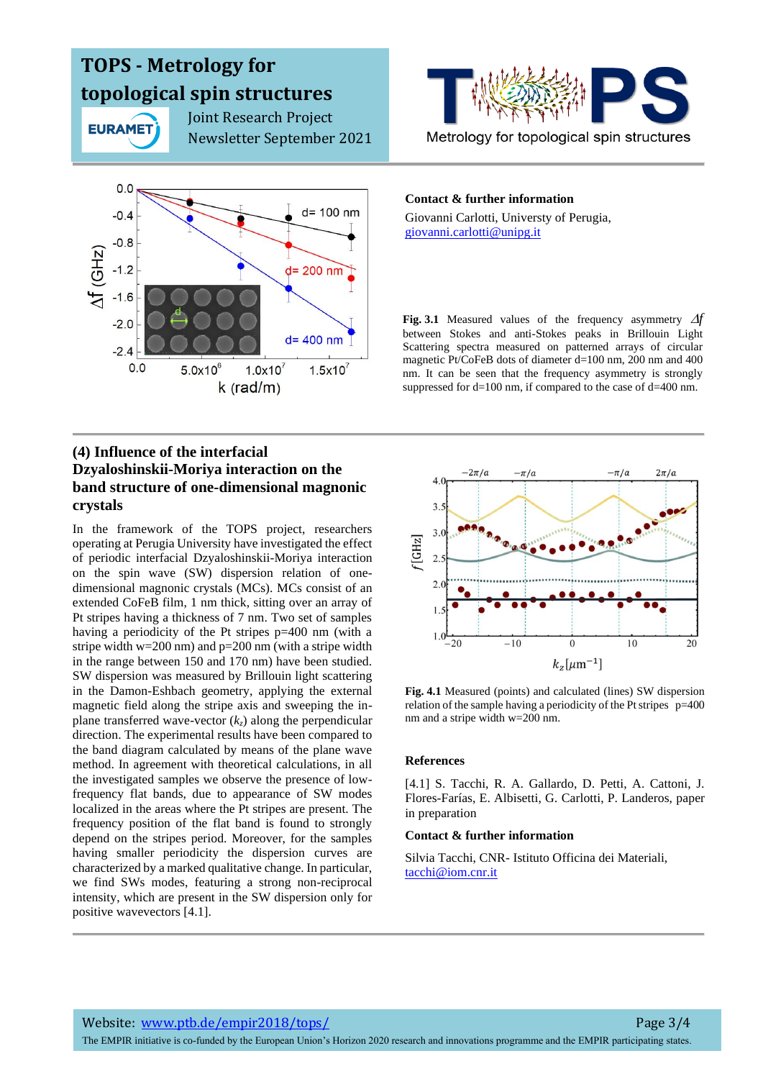

 Joint Research Project Newsletter September 2021



## **(4) Influence of the interfacial Dzyaloshinskii-Moriya interaction on the band structure of one-dimensional magnonic crystals**

In the framework of the TOPS project, researchers operating at Perugia University have investigated the effect of periodic interfacial Dzyaloshinskii-Moriya interaction on the spin wave (SW) dispersion relation of onedimensional magnonic crystals (MCs). MCs consist of an extended CoFeB film, 1 nm thick, sitting over an array of Pt stripes having a thickness of 7 nm. Two set of samples having a periodicity of the Pt stripes p=400 nm (with a stripe width  $w=200$  nm) and  $p=200$  nm (with a stripe width in the range between 150 and 170 nm) have been studied. SW dispersion was measured by Brillouin light scattering in the Damon-Eshbach geometry, applying the external magnetic field along the stripe axis and sweeping the inplane transferred wave-vector  $(k_z)$  along the perpendicular direction. The experimental results have been compared to the band diagram calculated by means of the plane wave method. In agreement with theoretical calculations, in all the investigated samples we observe the presence of lowfrequency flat bands, due to appearance of SW modes localized in the areas where the Pt stripes are present. The frequency position of the flat band is found to strongly depend on the stripes period. Moreover, for the samples having smaller periodicity the dispersion curves are characterized by a marked qualitative change. In particular, we find SWs modes, featuring a strong non-reciprocal intensity, which are present in the SW dispersion only for positive wavevectors [4.1].



#### **Contact & further information**

Giovanni Carlotti, Universty of Perugia, [giovanni.carlotti@unipg.it](mailto:giovanni.carlotti@unipg.it)

**Fig.** 3.1 Measured values of the frequency asymmetry  $\Delta f$ between Stokes and anti-Stokes peaks in Brillouin Light Scattering spectra measured on patterned arrays of circular magnetic Pt/CoFeB dots of diameter d=100 nm, 200 nm and 400 nm. It can be seen that the frequency asymmetry is strongly suppressed for d=100 nm, if compared to the case of d=400 nm.



**Fig. 4.1** Measured (points) and calculated (lines) SW dispersion relation of the sample having a periodicity of the Pt stripes  $p=400$ nm and a stripe width w=200 nm.

#### **References**

[4.1] S. Tacchi, R. A. Gallardo, D. Petti, A. Cattoni, J. Flores-Farías, E. Albisetti, G. Carlotti, P. Landeros, paper in preparation

#### **Contact & further information**

Silvia Tacchi, CNR- Istituto Officina dei Materiali, tacchi@iom.cnr.it

The EMPIR initiative is co-funded by the European Union's Horizon 2020 research and innovations programme and the EMPIR participating states.